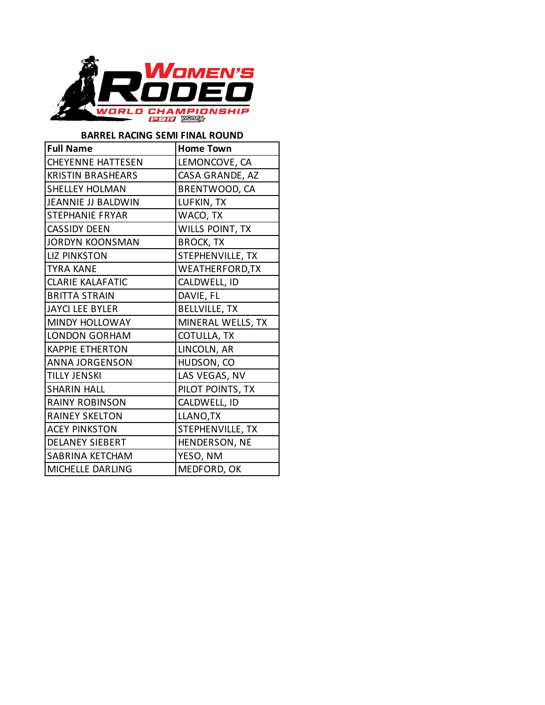

## **BARREL RACING SEMI FINAL ROUND**

| <b>Full Name</b>         | <b>Home Town</b>       |
|--------------------------|------------------------|
| <b>CHEYENNE HATTESEN</b> | LEMONCOVE, CA          |
| <b>KRISTIN BRASHEARS</b> | CASA GRANDE, AZ        |
| <b>SHELLEY HOLMAN</b>    | BRENTWOOD, CA          |
| JEANNIE JJ BALDWIN       | LUFKIN, TX             |
| <b>STEPHANIE FRYAR</b>   | WACO, TX               |
| <b>CASSIDY DEEN</b>      | <b>WILLS POINT, TX</b> |
| <b>JORDYN KOONSMAN</b>   | <b>BROCK, TX</b>       |
| <b>LIZ PINKSTON</b>      | STEPHENVILLE, TX       |
| <b>TYRA KANE</b>         | WEATHERFORD, TX        |
| <b>CLARIE KALAFATIC</b>  | CALDWELL, ID           |
| <b>BRITTA STRAIN</b>     | DAVIE, FL              |
| <b>JAYCI LEE BYLER</b>   | <b>BELLVILLE, TX</b>   |
| <b>MINDY HOLLOWAY</b>    | MINERAL WELLS, TX      |
| <b>LONDON GORHAM</b>     | COTULLA, TX            |
| <b>KAPPIE ETHERTON</b>   | LINCOLN, AR            |
| <b>ANNA JORGENSON</b>    | HUDSON, CO             |
| <b>TILLY JENSKI</b>      | LAS VEGAS, NV          |
| <b>SHARIN HALL</b>       | PILOT POINTS, TX       |
| <b>RAINY ROBINSON</b>    | CALDWELL, ID           |
| <b>RAINEY SKELTON</b>    | LLANO, TX              |
| <b>ACEY PINKSTON</b>     | STEPHENVILLE, TX       |
| <b>DELANEY SIEBERT</b>   | HENDERSON, NE          |
| <b>SABRINA KETCHAM</b>   | YESO, NM               |
| MICHELLE DARLING         | MEDFORD, OK            |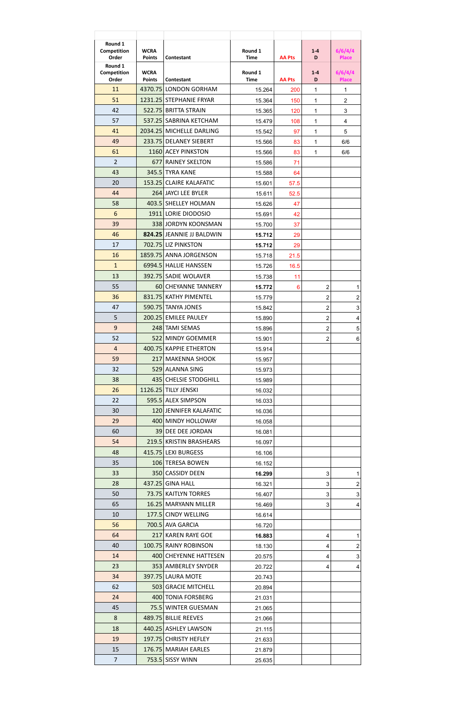| Round 1<br>Competition<br>Order | <b>WCRA</b><br><b>Points</b> | Contestant                | Round 1<br><b>Time</b> | <b>AA Pts</b> | $1 - 4$<br>D            | 6/6/4/4<br><b>Place</b>    |
|---------------------------------|------------------------------|---------------------------|------------------------|---------------|-------------------------|----------------------------|
| Round 1<br>Competition<br>Order | <b>WCRA</b><br><b>Points</b> | Contestant                | Round 1<br><b>Time</b> | <b>AA Pts</b> | $1 - 4$<br>D            | 6/6/4/4<br><b>Place</b>    |
| 11                              | 4370.75                      | <b>LONDON GORHAM</b>      | 15.264                 | 200           | 1                       | 1                          |
| 51                              | 1231.25                      | <b>STEPHANIE FRYAR</b>    | 15.364                 | 150           | $\mathbf{1}$            | $\overline{2}$             |
| 42                              | 522.75                       | <b>BRITTA STRAIN</b>      | 15.365                 | 120           | $\mathbf{1}$            | 3                          |
| 57                              | 537.25                       | SABRINA KETCHAM           | 15.479                 | 108           | $\mathbf{1}$            | $\overline{4}$             |
| 41                              | 2034.25                      | MICHELLE DARLING          | 15.542                 | 97            | $\mathbf{1}$            | 5                          |
| 49                              | 233.75                       | <b>DELANEY SIEBERT</b>    | 15.566                 | 83            | 1                       | 6/6                        |
| 61                              |                              | 1160 ACEY PINKSTON        | 15.566                 | 83            | 1                       | 6/6                        |
| $\overline{2}$                  | 677                          | <b>RAINEY SKELTON</b>     | 15.586                 | 71            |                         |                            |
| 43                              |                              | 345.5 TYRA KANE           | 15.588                 | 64            |                         |                            |
| 20                              | 153.25                       | <b>CLAIRE KALAFATIC</b>   | 15.601                 | 57.5          |                         |                            |
| 44                              |                              | 264 JAYCI LEE BYLER       | 15.611                 | 52.5          |                         |                            |
| 58                              |                              | 403.5 SHELLEY HOLMAN      | 15.626                 | 47            |                         |                            |
| $6\phantom{1}$                  |                              | 1911 LORIE DIODOSIO       | 15.691                 | 42            |                         |                            |
| 39                              |                              | 338 JORDYN KOONSMAN       | 15.700                 | 37            |                         |                            |
| 46                              |                              | 824.25 JEANNIE JJ BALDWIN | 15.712                 | 29            |                         |                            |
| 17                              |                              | 702.75 LIZ PINKSTON       | 15.712                 | 29            |                         |                            |
| 16                              |                              | 1859.75 ANNA JORGENSON    | 15.718                 | 21.5          |                         |                            |
| $\overline{1}$                  |                              | 6994.5 HALLIE HANSSEN     | 15.726                 | 16.5          |                         |                            |
| 13                              | 392.75                       | <b>SADIE WOLAVER</b>      | 15.738                 | 11            |                         |                            |
| 55                              |                              | 60 CHEYANNE TANNERY       | 15.772                 | 6             | $\overline{\mathbf{c}}$ | $\mathbf{1}$               |
| 36                              |                              | 831.75 KATHY PIMENTEL     | 15.779                 |               | $\overline{2}$          | $\overline{c}$             |
| 47                              |                              | 590.75 TANYA JONES        | 15.842                 |               | $\overline{2}$          | $\mathbf{3}$               |
| 5                               |                              | 200.25 EMILEE PAULEY      | 15.890                 |               | $\overline{2}$          | 4                          |
| $\overline{9}$                  |                              | 248 TAMI SEMAS            | 15.896                 |               | $\overline{2}$          | $\,$ 5 $\,$                |
| 52                              |                              | 522 MINDY GOEMMER         | 15.901                 |               | $\overline{2}$          | $\,6\,$                    |
| $\overline{4}$                  |                              | 400.75 KAPPIE ETHERTON    | 15.914                 |               |                         |                            |
| 59                              |                              | 217 MAKENNA SHOOK         | 15.957                 |               |                         |                            |
| 32                              |                              | 529 ALANNA SING           | 15.973                 |               |                         |                            |
| 38                              |                              | 435 CHELSIE STODGHILL     | 15.989                 |               |                         |                            |
| 26                              |                              | 1126.25 TILLY JENSKI      | 16.032                 |               |                         |                            |
| 22                              |                              | 595.5 ALEX SIMPSON        | 16.033                 |               |                         |                            |
| 30                              |                              | 120 JENNIFER KALAFATIC    | 16.036                 |               |                         |                            |
| 29                              |                              | 400 MINDY HOLLOWAY        | 16.058                 |               |                         |                            |
| 60                              |                              | 39 DEE DEE JORDAN         | 16.081                 |               |                         |                            |
| 54                              |                              | 219.5 KRISTIN BRASHEARS   |                        |               |                         |                            |
| 48                              |                              | 415.75 LEXI BURGESS       | 16.097                 |               |                         |                            |
| 35                              |                              | 106 TERESA BOWEN          | 16.106                 |               |                         |                            |
| 33                              |                              | 350 CASSIDY DEEN          | 16.152<br>16.299       |               | 3                       |                            |
| 28                              |                              | 437.25 GINA HALL          | 16.321                 |               | 3                       | $\mathbf 1$<br>$\mathbf 2$ |
| 50                              |                              | 73.75 KAITLYN TORRES      | 16.407                 |               | 3                       | $\mathbf{3}$               |
| 65                              |                              | 16.25 MARYANN MILLER      | 16.469                 |               | 3                       |                            |
| 10                              |                              | 177.5 CINDY WELLING       | 16.614                 |               |                         | 4                          |
| 56                              |                              | 700.5 AVA GARCIA          | 16.720                 |               |                         |                            |
| 64                              |                              | 217 KAREN RAYE GOE        | 16.883                 |               |                         |                            |
| 40                              |                              | 100.75 RAINY ROBINSON     |                        |               | 4                       | $\mathbf{1}$               |
| 14                              |                              | 400 CHEYENNE HATTESEN     | 18.130                 |               | 4                       | $\overline{\mathbf{c}}$    |
| 23                              |                              | 353 AMBERLEY SNYDER       | 20.575                 |               | 4                       | $\mathfrak{S}$             |
|                                 |                              |                           | 20.722                 |               | 4                       | 4                          |
| 34                              |                              | <b>397.75 LAURA MOTE</b>  | 20.743                 |               |                         |                            |
| 62                              |                              | 503 GRACIE MITCHELL       | 20.894                 |               |                         |                            |
| 24                              |                              | 400 TONIA FORSBERG        | 21.031                 |               |                         |                            |
| 45                              |                              | 75.5 WINTER GUESMAN       | 21.065                 |               |                         |                            |
| 8                               |                              | 489.75 BILLIE REEVES      | 21.066                 |               |                         |                            |
| 18                              |                              | 440.25 ASHLEY LAWSON      | 21.115                 |               |                         |                            |
| 19                              |                              | 197.75 CHRISTY HEFLEY     | 21.633                 |               |                         |                            |
| 15                              |                              | 176.75 MARIAH EARLES      | 21.879                 |               |                         |                            |
| $\overline{7}$                  |                              | 753.5 SISSY WINN          | 25.635                 |               |                         |                            |